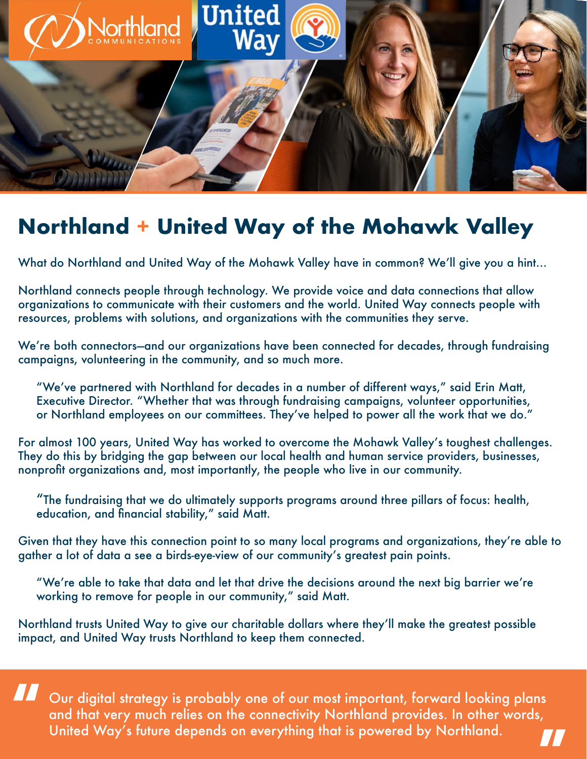

## **Northland + United Way of the Mohawk Valley**

What do Northland and United Way of the Mohawk Valley have in common? We'll give you a hint...

Northland connects people through technology. We provide voice and data connections that allow organizations to communicate with their customers and the world. United Way connects people with resources, problems with solutions, and organizations with the communities they serve.

We're both connectors—and our organizations have been connected for decades, through fundraising campaigns, volunteering in the community, and so much more.

"We've partnered with Northland for decades in a number of different ways," said Erin Matt, Executive Director. "Whether that was through fundraising campaigns, volunteer opportunities, or Northland employees on our committees. They've helped to power all the work that we do."

For almost 100 years, United Way has worked to overcome the Mohawk Valley's toughest challenges. They do this by bridging the gap between our local health and human service providers, businesses, nonprofit organizations and, most importantly, the people who live in our community.

"The fundraising that we do ultimately supports programs around three pillars of focus: health, education, and financial stability," said Matt.

Given that they have this connection point to so many local programs and organizations, they're able to gather a lot of data a see a birds-eye-view of our community's greatest pain points.

"We're able to take that data and let that drive the decisions around the next big barrier we're working to remove for people in our community," said Matt.

Northland trusts United Way to give our charitable dollars where they'll make the greatest possible impact, and United Way trusts Northland to keep them connected.

Our digital strategy is probably one of our most important, forward looking plans and that very much relies on the connectivity Northland provides. In other words, United Way's future depends on everything that is powered by Northland. **" "**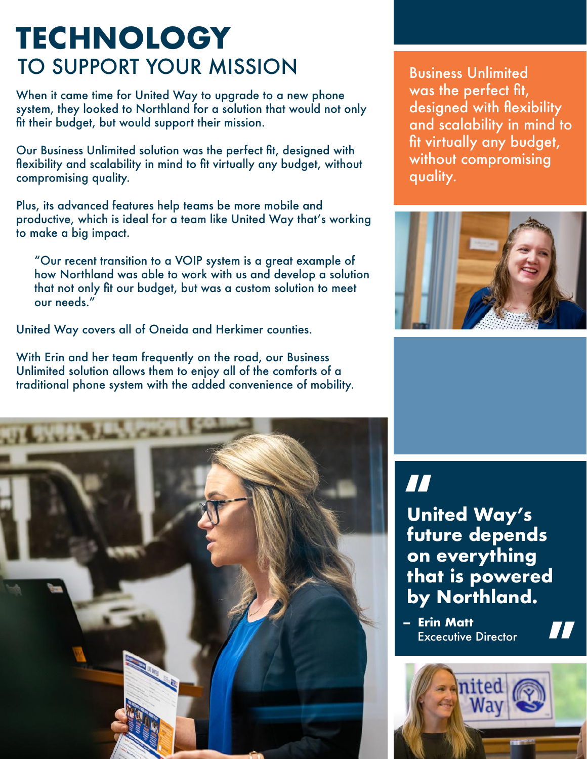## **TECHNOLOGY** TO SUPPORT YOUR MISSION

When it came time for United Way to upgrade to a new phone system, they looked to Northland for a solution that would not only fit their budget, but would support their mission.

Our Business Unlimited solution was the perfect fit, designed with flexibility and scalability in mind to fit virtually any budget, without compromising quality.

Plus, its advanced features help teams be more mobile and productive, which is ideal for a team like United Way that's working to make a big impact.

"Our recent transition to a VOIP system is a great example of how Northland was able to work with us and develop a solution that not only fit our budget, but was a custom solution to meet our needs."

United Way covers all of Oneida and Herkimer counties.

With Erin and her team frequently on the road, our Business Unlimited solution allows them to enjoy all of the comforts of a traditional phone system with the added convenience of mobility.



Business Unlimited was the perfect fit, designed with flexibility and scalability in mind to fit virtually any budget, without compromising quality.



**" " United Way's future depends on everything that is powered by Northland.**

**- Erin Matt** Excecutive Director